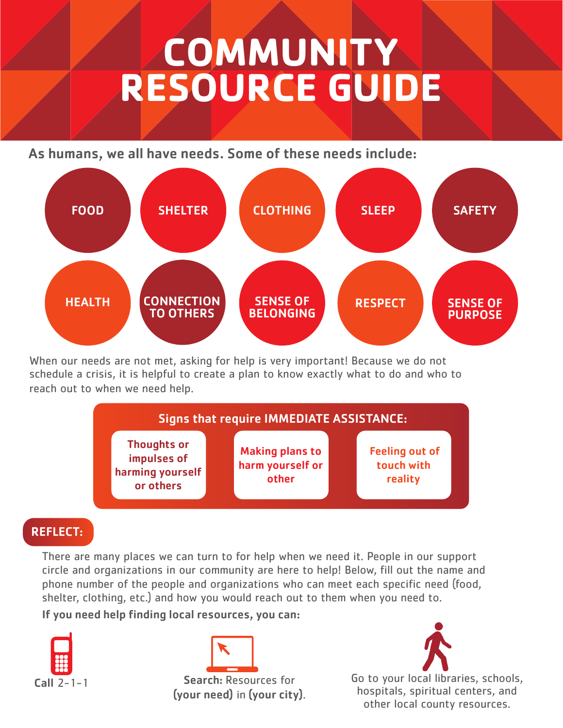## **COMMUNITY RESOURCE GUIDE**

As humans, we all have needs. Some of these needs include:



When our needs are not met, asking for help is very important! Because we do not schedule a crisis, it is helpful to create a plan to know exactly what to do and who to reach out to when we need help.



## REFLECT:

There are many places we can turn to for help when we need it. People in our support circle and organizations in our community are here to help! Below, fill out the name and phone number of the people and organizations who can meet each specific need (food, shelter, clothing, etc.) and how you would reach out to them when you need to.

If you need help finding local resources, you can:



Search: Resources for (your need) in (your city).



Call 2-1-1 Search: Resources for Go to your local libraries, schools, hospitals, spiritual centers, and other local county resources.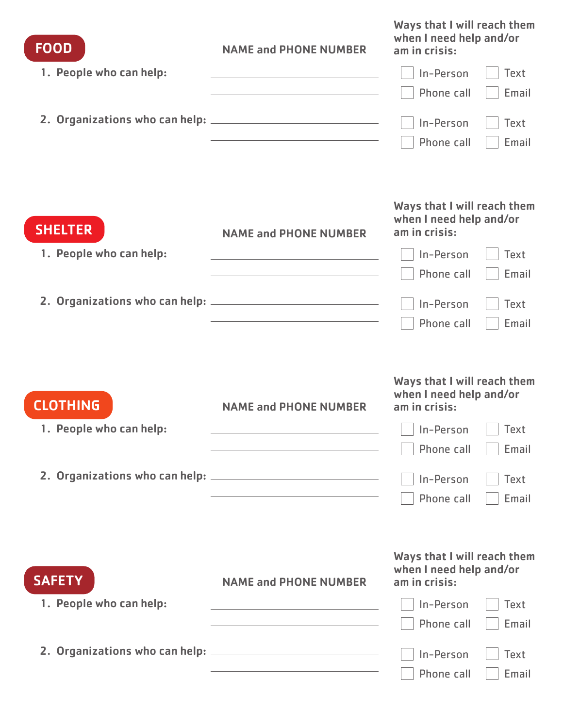| <b>FOOD</b>             | <b>NAME and PHONE NUMBER</b>                                               | Ways that I will reach them<br>when I need help and/or<br>am in crisis: |
|-------------------------|----------------------------------------------------------------------------|-------------------------------------------------------------------------|
| 1. People who can help: |                                                                            | <b>Text</b><br>In-Person                                                |
|                         |                                                                            | Phone call<br>Email                                                     |
|                         |                                                                            | In-Person<br><b>Text</b>                                                |
|                         | the control of the control of the control of the control of the control of | Phone call<br>Email                                                     |
| <b>SHELTER</b>          | <b>NAME and PHONE NUMBER</b>                                               | Ways that I will reach them<br>when I need help and/or<br>am in crisis: |
| 1. People who can help: | the control of the control of the control of the control of the control of | In-Person<br><b>Text</b>                                                |
|                         |                                                                            | Phone call<br>Email                                                     |
|                         |                                                                            | In-Person<br>Text                                                       |
|                         |                                                                            | Phone call<br>Email                                                     |
|                         |                                                                            |                                                                         |
| <b>CLOTHING</b>         | <b>NAME and PHONE NUMBER</b>                                               | Ways that I will reach them<br>when I need help and/or<br>am in crisis: |
| 1. People who can help: |                                                                            | □ In-Person □ Text                                                      |
|                         | <u> 1989 - Johann Barn, amerikansk politiker (d. 1989)</u>                 | Phone call<br>Email                                                     |
|                         |                                                                            | In-Person<br>Text                                                       |
|                         |                                                                            | Email<br>Phone call                                                     |
| <b>SAFETY</b>           | <b>NAME and PHONE NUMBER</b>                                               | Ways that I will reach them<br>when I need help and/or<br>am in crisis: |
| 1. People who can help: | <u> 1989 - Johann Stein, mars an deus Amerikaansk kommunister (</u>        | In-Person<br><b>Text</b>                                                |
|                         | the control of the control of the control of the control of the control of | Email<br>Phone call                                                     |
|                         |                                                                            | In-Person<br>Text<br>Email<br>Phone call                                |